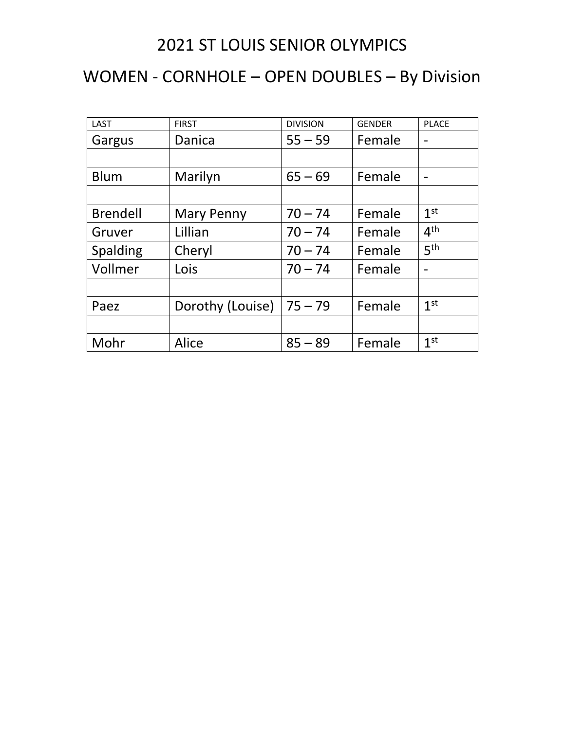## 2021 ST LOUIS SENIOR OLYMPICS

## WOMEN - CORNHOLE – OPEN DOUBLES – By Division

| <b>LAST</b>     | <b>FIRST</b>     | <b>DIVISION</b> | <b>GENDER</b> | <b>PLACE</b>    |
|-----------------|------------------|-----------------|---------------|-----------------|
| Gargus          | Danica           | $55 - 59$       | Female        |                 |
|                 |                  |                 |               |                 |
| <b>Blum</b>     | Marilyn          | $65 - 69$       | Female        |                 |
|                 |                  |                 |               |                 |
| <b>Brendell</b> | Mary Penny       | $70 - 74$       | Female        | 1 <sup>st</sup> |
| Gruver          | Lillian          | $70 - 74$       | Female        | 4 <sup>th</sup> |
| Spalding        | Cheryl           | $70 - 74$       | Female        | 5 <sup>th</sup> |
| Vollmer         | Lois             | $70 - 74$       | Female        |                 |
|                 |                  |                 |               |                 |
| Paez            | Dorothy (Louise) | $75 - 79$       | Female        | 1 <sup>st</sup> |
|                 |                  |                 |               |                 |
| Mohr            | Alice            | $85 - 89$       | Female        | 1 <sup>st</sup> |